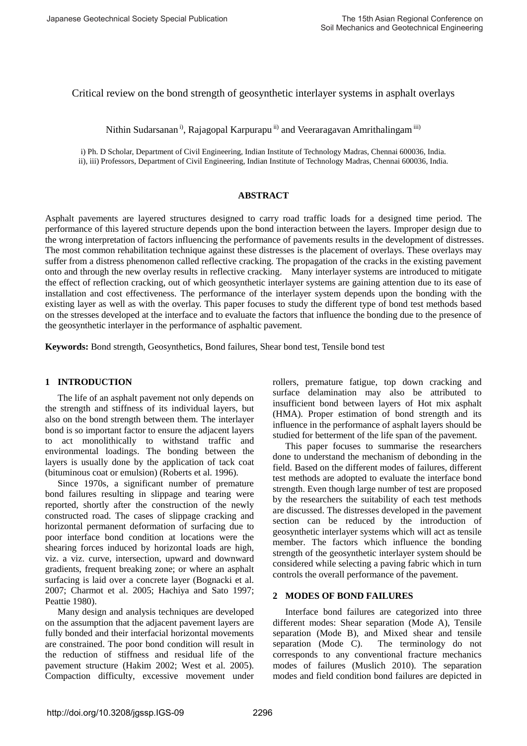Critical review on the bond strength of geosynthetic interlayer systems in asphalt overlays

Nithin Sudarsanan<sup>i)</sup>, Rajagopal Karpurapu<sup>ii)</sup> and Veeraragavan Amrithalingam<sup>iii)</sup>

i) Ph. D Scholar, Department of Civil Engineering, Indian Institute of Technology Madras, Chennai 600036, India. ii), iii) Professors, Department of Civil Engineering, Indian Institute of Technology Madras, Chennai 600036, India.

### **ABSTRACT**

Asphalt pavements are layered structures designed to carry road traffic loads for a designed time period. The performance of this layered structure depends upon the bond interaction between the layers. Improper design due to the wrong interpretation of factors influencing the performance of pavements results in the development of distresses. The most common rehabilitation technique against these distresses is the placement of overlays. These overlays may suffer from a distress phenomenon called reflective cracking. The propagation of the cracks in the existing pavement onto and through the new overlay results in reflective cracking. Many interlayer systems are introduced to mitigate the effect of reflection cracking, out of which geosynthetic interlayer systems are gaining attention due to its ease of installation and cost effectiveness. The performance of the interlayer system depends upon the bonding with the existing layer as well as with the overlay. This paper focuses to study the different type of bond test methods based on the stresses developed at the interface and to evaluate the factors that influence the bonding due to the presence of the geosynthetic interlayer in the performance of asphaltic pavement.

**Keywords:** Bond strength, Geosynthetics, Bond failures, Shear bond test, Tensile bond test

# **1 INTRODUCTION**

The life of an asphalt pavement not only depends on the strength and stiffness of its individual layers, but also on the bond strength between them. The interlayer bond is so important factor to ensure the adjacent layers to act monolithically to withstand traffic and environmental loadings. The bonding between the layers is usually done by the application of tack coat (bituminous coat or emulsion) (Roberts et al. 1996).

Since 1970s, a significant number of premature bond failures resulting in slippage and tearing were reported, shortly after the construction of the newly constructed road. The cases of slippage cracking and horizontal permanent deformation of surfacing due to poor interface bond condition at locations were the shearing forces induced by horizontal loads are high, viz. a viz. curve, intersection, upward and downward gradients, frequent breaking zone; or where an asphalt surfacing is laid over a concrete layer (Bognacki et al. 2007; Charmot et al. 2005; Hachiya and Sato 1997; Peattie 1980).

Many design and analysis techniques are developed on the assumption that the adjacent pavement layers are fully bonded and their interfacial horizontal movements are constrained. The poor bond condition will result in the reduction of stiffness and residual life of the pavement structure (Hakim 2002; West et al. 2005). Compaction difficulty, excessive movement under rollers, premature fatigue, top down cracking and surface delamination may also be attributed to insufficient bond between layers of Hot mix asphalt (HMA). Proper estimation of bond strength and its influence in the performance of asphalt layers should be studied for betterment of the life span of the pavement.

This paper focuses to summarise the researchers done to understand the mechanism of debonding in the field. Based on the different modes of failures, different test methods are adopted to evaluate the interface bond strength. Even though large number of test are proposed by the researchers the suitability of each test methods are discussed. The distresses developed in the pavement section can be reduced by the introduction of geosynthetic interlayer systems which will act as tensile member. The factors which influence the bonding strength of the geosynthetic interlayer system should be considered while selecting a paving fabric which in turn controls the overall performance of the pavement.

# **2 MODES OF BOND FAILURES**

Interface bond failures are categorized into three different modes: Shear separation (Mode A), Tensile separation (Mode B), and Mixed shear and tensile separation (Mode C). The terminology do not corresponds to any conventional fracture mechanics modes of failures (Muslich 2010). The separation modes and field condition bond failures are depicted in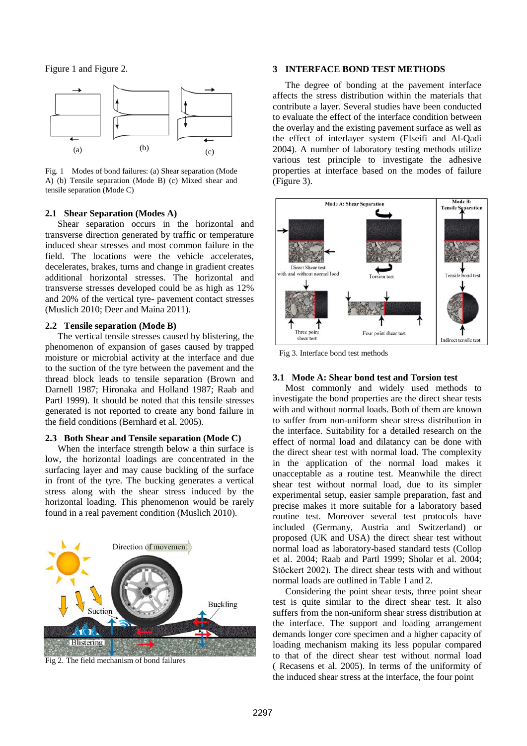Figure 1 and Figure 2.



Fig. 1 Modes of bond failures: (a) Shear separation (Mode A) (b) Tensile separation (Mode B) (c) Mixed shear and tensile separation (Mode C)

### **2.1 Shear Separation (Modes A)**

Shear separation occurs in the horizontal and transverse direction generated by traffic or temperature induced shear stresses and most common failure in the field. The locations were the vehicle accelerates, decelerates, brakes, turns and change in gradient creates additional horizontal stresses. The horizontal and transverse stresses developed could be as high as 12% and 20% of the vertical tyre- pavement contact stresses (Muslich 2010; Deer and Maina 2011).

### **2.2 Tensile separation (Mode B)**

The vertical tensile stresses caused by blistering, the phenomenon of expansion of gases caused by trapped moisture or microbial activity at the interface and due to the suction of the tyre between the pavement and the thread block leads to tensile separation (Brown and Darnell 1987; Hironaka and Holland 1987; Raab and Partl 1999). It should be noted that this tensile stresses generated is not reported to create any bond failure in the field conditions (Bernhard et al. 2005).

### **2.3 Both Shear and Tensile separation (Mode C)**

When the interface strength below a thin surface is low, the horizontal loadings are concentrated in the surfacing layer and may cause buckling of the surface in front of the tyre. The bucking generates a vertical stress along with the shear stress induced by the horizontal loading. This phenomenon would be rarely found in a real pavement condition (Muslich 2010).



Fig 2. The field mechanism of bond failures

### **3 INTERFACE BOND TEST METHODS**

The degree of bonding at the pavement interface affects the stress distribution within the materials that contribute a layer. Several studies have been conducted to evaluate the effect of the interface condition between the overlay and the existing pavement surface as well as the effect of interlayer system (Elseifi and Al-Qadi 2004). A number of laboratory testing methods utilize various test principle to investigate the adhesive properties at interface based on the modes of failure (Figure 3).



Fig 3. Interface bond test methods

### **3.1 Mode A: Shear bond test and Torsion test**

Most commonly and widely used methods to investigate the bond properties are the direct shear tests with and without normal loads. Both of them are known to suffer from non-uniform shear stress distribution in the interface. Suitability for a detailed research on the effect of normal load and dilatancy can be done with the direct shear test with normal load. The complexity in the application of the normal load makes it unacceptable as a routine test. Meanwhile the direct shear test without normal load, due to its simpler experimental setup, easier sample preparation, fast and precise makes it more suitable for a laboratory based routine test. Moreover several test protocols have included (Germany, Austria and Switzerland) or proposed (UK and USA) the direct shear test without normal load as laboratory-based standard tests (Collop et al. 2004; Raab and Partl 1999; Sholar et al. 2004; Stöckert 2002). The direct shear tests with and without normal loads are outlined in Table 1 and 2.

Considering the point shear tests, three point shear test is quite similar to the direct shear test. It also suffers from the non-uniform shear stress distribution at the interface. The support and loading arrangement demands longer core specimen and a higher capacity of loading mechanism making its less popular compared to that of the direct shear test without normal load ( Recasens et al. 2005). In terms of the uniformity of the induced shear stress at the interface, the four point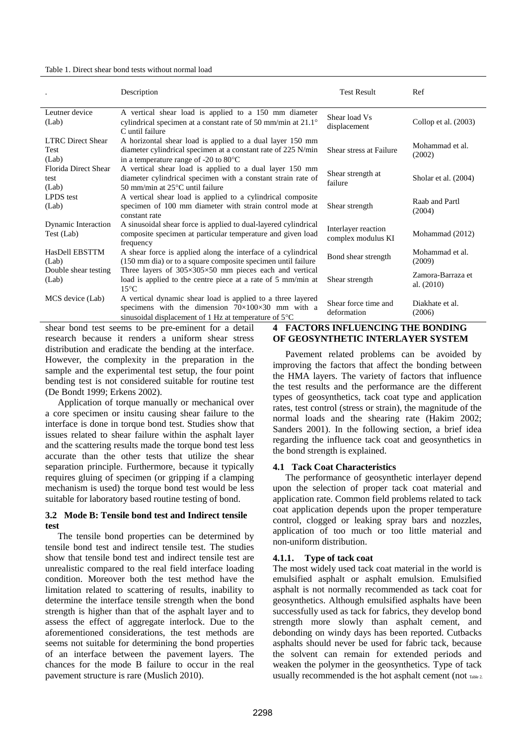#### Table 1. Direct shear bond tests without normal load

|                                           | Description                                                                                                                                                                                    | <b>Test Result</b>                        | Ref                               |
|-------------------------------------------|------------------------------------------------------------------------------------------------------------------------------------------------------------------------------------------------|-------------------------------------------|-----------------------------------|
| Leutner device<br>(Lab)                   | A vertical shear load is applied to a 150 mm diameter<br>cylindrical specimen at a constant rate of 50 mm/min at $21.1^{\circ}$<br>C until failure                                             | Shear load Vs<br>displacement             | Collop et al. (2003)              |
| <b>LTRC</b> Direct Shear<br>Test<br>(Lab) | A horizontal shear load is applied to a dual layer 150 mm<br>diameter cylindrical specimen at a constant rate of 225 N/min<br>in a temperature range of $-20$ to 80 $\degree$ C                | Shear stress at Failure                   | Mohammad et al.<br>(2002)         |
| Florida Direct Shear<br>test<br>(Lab)     | A vertical shear load is applied to a dual layer 150 mm<br>diameter cylindrical specimen with a constant strain rate of<br>50 mm/min at $25^{\circ}$ C until failure                           | Shear strength at<br>failure              | Sholar et al. (2004)              |
| LPDS test<br>(Lab)                        | A vertical shear load is applied to a cylindrical composite<br>specimen of 100 mm diameter with strain control mode at<br>constant rate                                                        | Shear strength                            | Raab and Partl<br>(2004)          |
| <b>Dynamic Interaction</b><br>Test (Lab)  | A sinusoidal shear force is applied to dual-layered cylindrical<br>composite specimen at particular temperature and given load<br>frequency                                                    | Interlayer reaction<br>complex modulus KI | Mohammad (2012)                   |
| HasDell EBSTTM<br>(Lab)                   | A shear force is applied along the interface of a cylindrical<br>(150 mm dia) or to a square composite specimen until failure                                                                  | Bond shear strength                       | Mohammad et al.<br>(2009)         |
| Double shear testing<br>(Lab)             | Three layers of $305\times305\times50$ mm pieces each and vertical<br>load is applied to the centre piece at a rate of 5 mm/min at<br>$15^{\circ}$ C                                           | Shear strength                            | Zamora-Barraza et<br>al. $(2010)$ |
| MCS device (Lab)                          | A vertical dynamic shear load is applied to a three layered<br>specimens with the dimension $70\times100\times30$ mm with a<br>sinusoidal displacement of 1 Hz at temperature of $5^{\circ}$ C | Shear force time and<br>deformation       | Diakhate et al.<br>(2006)         |

shear bond test seems to be pre-eminent for a detail research because it renders a uniform shear stress distribution and eradicate the bending at the interface. However, the complexity in the preparation in the sample and the experimental test setup, the four point bending test is not considered suitable for routine test (De Bondt 1999; Erkens 2002).

Application of torque manually or mechanical over a core specimen or insitu causing shear failure to the interface is done in torque bond test. Studies show that issues related to shear failure within the asphalt layer and the scattering results made the torque bond test less accurate than the other tests that utilize the shear separation principle. Furthermore, because it typically requires gluing of specimen (or gripping if a clamping mechanism is used) the torque bond test would be less suitable for laboratory based routine testing of bond.

# **3.2 Mode B: Tensile bond test and Indirect tensile test**

The tensile bond properties can be determined by tensile bond test and indirect tensile test. The studies show that tensile bond test and indirect tensile test are unrealistic compared to the real field interface loading condition. Moreover both the test method have the limitation related to scattering of results, inability to determine the interface tensile strength when the bond strength is higher than that of the asphalt layer and to assess the effect of aggregate interlock. Due to the aforementioned considerations, the test methods are seems not suitable for determining the bond properties of an interface between the pavement layers. The chances for the mode B failure to occur in the real pavement structure is rare (Muslich 2010).

# **4 FACTORS INFLUENCING THE BONDING OF GEOSYNTHETIC INTERLAYER SYSTEM**

Pavement related problems can be avoided by improving the factors that affect the bonding between the HMA layers. The variety of factors that influence the test results and the performance are the different types of geosynthetics, tack coat type and application rates, test control (stress or strain), the magnitude of the normal loads and the shearing rate (Hakim 2002; Sanders 2001). In the following section, a brief idea regarding the influence tack coat and geosynthetics in the bond strength is explained.

# **4.1 Tack Coat Characteristics**

The performance of geosynthetic interlayer depend upon the selection of proper tack coat material and application rate. Common field problems related to tack coat application depends upon the proper temperature control, clogged or leaking spray bars and nozzles, application of too much or too little material and non-uniform distribution.

### **4.1.1. Type of tack coat**

The most widely used tack coat material in the world is emulsified asphalt or asphalt emulsion. Emulsified asphalt is not normally recommended as tack coat for geosynthetics. Although emulsified asphalts have been successfully used as tack for fabrics, they develop bond strength more slowly than asphalt cement, and debonding on windy days has been reported. Cutbacks asphalts should never be used for fabric tack, because the solvent can remain for extended periods and weaken the polymer in the geosynthetics. Type of tack usually recommended is the hot asphalt cement (not Table 2.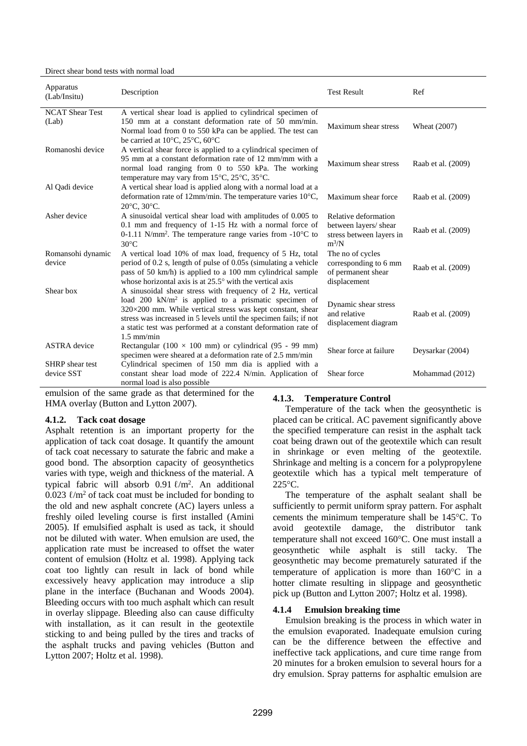#### Direct shear bond tests with normal load

| Apparatus<br>(Lab/Insitu)            | Description                                                                                                                                                                                                                                                                                                                                        | <b>Test Result</b>                                                                   | Ref                |
|--------------------------------------|----------------------------------------------------------------------------------------------------------------------------------------------------------------------------------------------------------------------------------------------------------------------------------------------------------------------------------------------------|--------------------------------------------------------------------------------------|--------------------|
| <b>NCAT Shear Test</b><br>(Lab)      | A vertical shear load is applied to cylindrical specimen of<br>150 mm at a constant deformation rate of 50 mm/min.<br>Normal load from 0 to 550 kPa can be applied. The test can<br>be carried at $10^{\circ}$ C, $25^{\circ}$ C, $60^{\circ}$ C                                                                                                   | Maximum shear stress                                                                 | Wheat (2007)       |
| Romanoshi device                     | A vertical shear force is applied to a cylindrical specimen of<br>95 mm at a constant deformation rate of 12 mm/mm with a<br>normal load ranging from 0 to 550 kPa. The working<br>temperature may vary from 15°C, 25°C, 35°C.                                                                                                                     | Maximum shear stress                                                                 | Raab et al. (2009) |
| Al Qadi device                       | A vertical shear load is applied along with a normal load at a<br>deformation rate of 12mm/min. The temperature varies $10^{\circ}$ C,<br>20°C, 30°C.                                                                                                                                                                                              | Maximum shear force                                                                  | Raab et al. (2009) |
| Asher device                         | A sinusoidal vertical shear load with amplitudes of 0.005 to<br>0.1 mm and frequency of 1-15 Hz with a normal force of<br>0-1.11 N/mm <sup>2</sup> . The temperature range varies from $-10^{\circ}$ C to<br>$30^{\circ}$ C                                                                                                                        | Relative deformation<br>between layers/ shear<br>stress between layers in<br>$m^3/N$ | Raab et al. (2009) |
| Romansohi dynamic<br>device          | A vertical load 10% of max load, frequency of 5 Hz, total<br>period of 0.2 s, length of pulse of 0.05s (simulating a vehicle<br>pass of 50 km/h) is applied to a 100 mm cylindrical sample<br>whose horizontal axis is at $25.5^{\circ}$ with the vertical axis                                                                                    | The no of cycles<br>corresponding to 6 mm<br>of permanent shear<br>displacement      | Raab et al. (2009) |
| Shear box                            | A sinusoidal shear stress with frequency of 2 Hz, vertical<br>load 200 kN/m <sup>2</sup> is applied to a prismatic specimen of<br>320×200 mm. While vertical stress was kept constant, shear<br>stress was increased in 5 levels until the specimen fails; if not<br>a static test was performed at a constant deformation rate of<br>$1.5$ mm/min | Dynamic shear stress<br>and relative<br>displacement diagram                         | Raab et al. (2009) |
| <b>ASTRA</b> device                  | Rectangular (100 $\times$ 100 mm) or cylindrical (95 - 99 mm)<br>specimen were sheared at a deformation rate of 2.5 mm/min                                                                                                                                                                                                                         | Shear force at failure                                                               | Deysarkar (2004)   |
| <b>SHRP</b> shear test<br>device SST | Cylindrical specimen of 150 mm dia is applied with a<br>constant shear load mode of 222.4 N/min. Application of<br>normal load is also possible                                                                                                                                                                                                    | Shear force                                                                          | Mohammad (2012)    |

emulsion of the same grade as that determined for the HMA overlay (Button and Lytton 2007).

# **4.1.2. Tack coat dosage**

Asphalt retention is an important property for the application of tack coat dosage. It quantify the amount of tack coat necessary to saturate the fabric and make a good bond. The absorption capacity of geosynthetics varies with type, weigh and thickness of the material. A typical fabric will absorb  $0.91 \ \text{\ell/m}^2$ . An additional 0.023  $\ell/m^2$  of tack coat must be included for bonding to the old and new asphalt concrete (AC) layers unless a freshly oiled leveling course is first installed (Amini 2005). If emulsified asphalt is used as tack, it should not be diluted with water. When emulsion are used, the application rate must be increased to offset the water content of emulsion (Holtz et al. 1998). Applying tack coat too lightly can result in lack of bond while excessively heavy application may introduce a slip plane in the interface (Buchanan and Woods 2004). Bleeding occurs with too much asphalt which can result in overlay slippage. Bleeding also can cause difficulty with installation, as it can result in the geotextile sticking to and being pulled by the tires and tracks of the asphalt trucks and paving vehicles (Button and Lytton 2007; Holtz et al. 1998).

# **4.1.3. Temperature Control**

Temperature of the tack when the geosynthetic is placed can be critical. AC pavement significantly above the specified temperature can resist in the asphalt tack coat being drawn out of the geotextile which can result in shrinkage or even melting of the geotextile. Shrinkage and melting is a concern for a polypropylene geotextile which has a typical melt temperature of 225°C.

The temperature of the asphalt sealant shall be sufficiently to permit uniform spray pattern. For asphalt cements the minimum temperature shall be 145°C. To avoid geotextile damage, the distributor tank temperature shall not exceed 160°C. One must install a geosynthetic while asphalt is still tacky. The geosynthetic may become prematurely saturated if the temperature of application is more than 160°C in a hotter climate resulting in slippage and geosynthetic pick up (Button and Lytton 2007; Holtz et al. 1998).

# **4.1.4 Emulsion breaking time**

Emulsion breaking is the process in which water in the emulsion evaporated. Inadequate emulsion curing can be the difference between the effective and ineffective tack applications, and cure time range from 20 minutes for a broken emulsion to several hours for a dry emulsion. Spray patterns for asphaltic emulsion are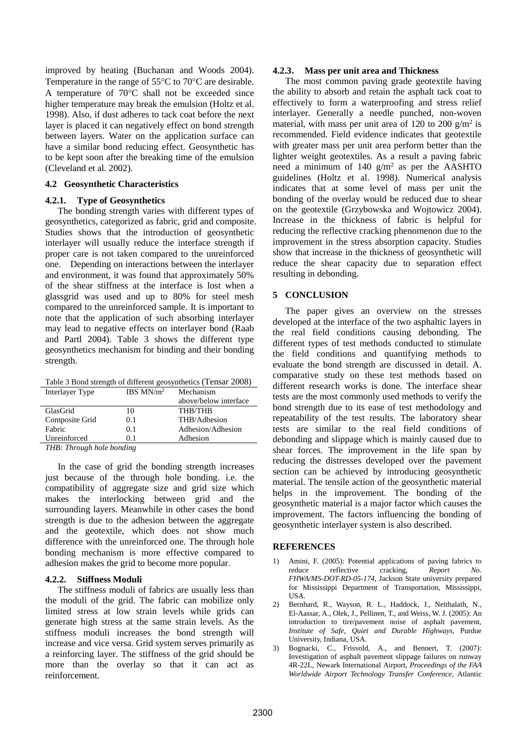improved by heating (Buchanan and Woods 2004). Temperature in the range of 55°C to 70°C are desirable. A temperature of 70°C shall not be exceeded since higher temperature may break the emulsion (Holtz et al. 1998). Also, if dust adheres to tack coat before the next layer is placed it can negatively effect on bond strength between layers. Water on the application surface can have a similar bond reducing effect. Geosynthetic has to be kept soon after the breaking time of the emulsion (Cleveland et al. 2002).

# **4.2 Geosynthetic Characteristics**

# **4.2.1. Type of Geosynthetics**

The bonding strength varies with different types of geosynthetics, categorized as fabric, grid and composite. Studies shows that the introduction of geosynthetic interlayer will usually reduce the interface strength if proper care is not taken compared to the unreinforced one. Depending on interactions between the interlayer and environment, it was found that approximately 50% of the shear stiffness at the interface is lost when a glassgrid was used and up to 80% for steel mesh compared to the unreinforced sample. It is important to note that the application of such absorbing interlayer may lead to negative effects on interlayer bond (Raab and Partl 2004). Table 3 shows the different type geosynthetics mechanism for binding and their bonding strength.

Table 3 Bond strength of different geosynthetics (Tensar 2008)

| Interlayer Type | IBS $MN/m^2$ | Mechanism             |
|-----------------|--------------|-----------------------|
|                 |              | above/below interface |
| GlasGrid        | 10           | <b>THB/THB</b>        |
| Composite Grid  | 0.1          | THB/Adhesion          |
| Fabric          | 0.1          | Adhesion/Adhesion     |
| Unreinforced    | O 1          | Adhesion              |
| $\pi r r n$     | $\mathbf{r}$ |                       |

*THB: Through hole bonding*

In the case of grid the bonding strength increases just because of the through hole bonding. i.e. the compatibility of aggregate size and grid size which makes the interlocking between grid and the surrounding layers. Meanwhile in other cases the bond strength is due to the adhesion between the aggregate and the geotextile, which does not show much difference with the unreinforced one. The through hole bonding mechanism is more effective compared to adhesion makes the grid to become more popular.

# **4.2.2. Stiffness Moduli**

The stiffness moduli of fabrics are usually less than the moduli of the grid. The fabric can mobilize only limited stress at low strain levels while grids can generate high stress at the same strain levels. As the stiffness moduli increases the bond strength will increase and vice versa. Grid system serves primarily as a reinforcing layer. The stiffness of the grid should be more than the overlay so that it can act as reinforcement.

### **4.2.3. Mass per unit area and Thickness**

The most common paving grade geotextile having the ability to absorb and retain the asphalt tack coat to effectively to form a waterproofing and stress relief interlayer. Generally a needle punched, non-woven material, with mass per unit area of 120 to 200  $\text{g/m}^2$  is recommended. Field evidence indicates that geotextile with greater mass per unit area perform better than the lighter weight geotextiles. As a result a paving fabric need a minimum of 140  $g/m^2$  as per the AASHTO guidelines (Holtz et al. 1998). Numerical analysis indicates that at some level of mass per unit the bonding of the overlay would be reduced due to shear on the geotextile (Grzybowska and Wojtowicz 2004). Increase in the thickness of fabric is helpful for reducing the reflective cracking phenomenon due to the improvement in the stress absorption capacity. Studies show that increase in the thickness of geosynthetic will reduce the shear capacity due to separation effect resulting in debonding.

# **5 CONCLUSION**

The paper gives an overview on the stresses developed at the interface of the two asphaltic layers in the real field conditions causing debonding. The different types of test methods conducted to stimulate the field conditions and quantifying methods to evaluate the bond strength are discussed in detail. A. comparative study on these test methods based on different research works is done. The interface shear tests are the most commonly used methods to verify the bond strength due to its ease of test methodology and repeatability of the test results. The laboratory shear tests are similar to the real field conditions of debonding and slippage which is mainly caused due to shear forces. The improvement in the life span by reducing the distresses developed over the pavement section can be achieved by introducing geosynthetic material. The tensile action of the geosynthetic material helps in the improvement. The bonding of the geosynthetic material is a major factor which causes the improvement. The factors influencing the bonding of geosynthetic interlayer system is also described.

# **REFERENCES**

- 1) Amini, F. (2005): Potential applications of paving fabrics to reduce reflective cracking, *Report No. FHWA/MS-DOT-RD-05-174*, Jackson State university prepared for Mississippi Department of Transportation, Mississippi, USA.
- 2) Bernhard, R., Wayson, R. L., Haddock, J., Neithalath, N., El-Aassar, A., Olek, J., Pellinen, T., and Weiss, W. J. (2005): An introduction to tire/pavement noise of asphalt pavement, *Institute of Safe, Quiet and Durable Highways*, Purdue University, Indiana, USA.
- 3) Bognacki, C., Frisvold, A., and Bennert, T. (2007): Investigation of asphalt pavement slippage failures on runway 4R-22L, Newark International Airport, *Proceedings of the FAA Worldwide Airport Technology Transfer Conference*, Atlantic